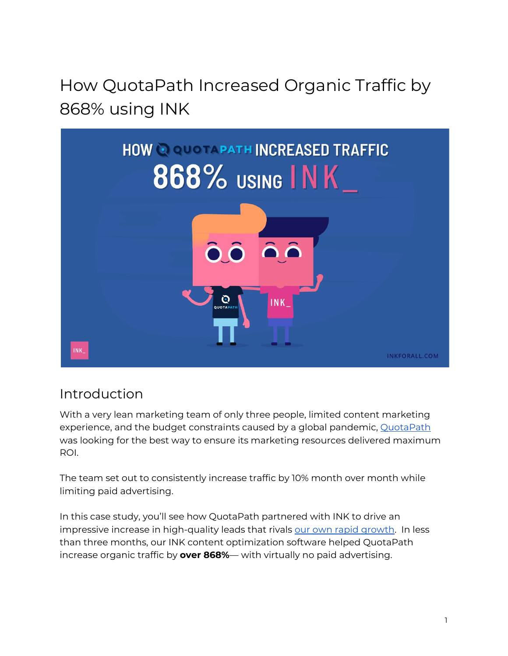# How QuotaPath Increased Organic Traffic by 868% using INK



### Introduction

With a very lean marketing team of only three people, limited content marketing experience, and the budget constraints caused by a global pandemic, [QuotaPath](https://www.quotapath.com/) was looking for the best way to ensure its marketing resources delivered maximum ROI.

The team set out to consistently increase traffic by 10% month over month while limiting paid advertising.

In this case study, you'll see how QuotaPath partnered with INK to drive an impressive increase in high-quality leads that rivals our own rapid [growth.](https://blog.inkforall.com/ink-crowd-content-blog-growth-1-month) In less than three months, our INK content optimization software helped QuotaPath increase organic traffic by **over 868%**— with virtually no paid advertising.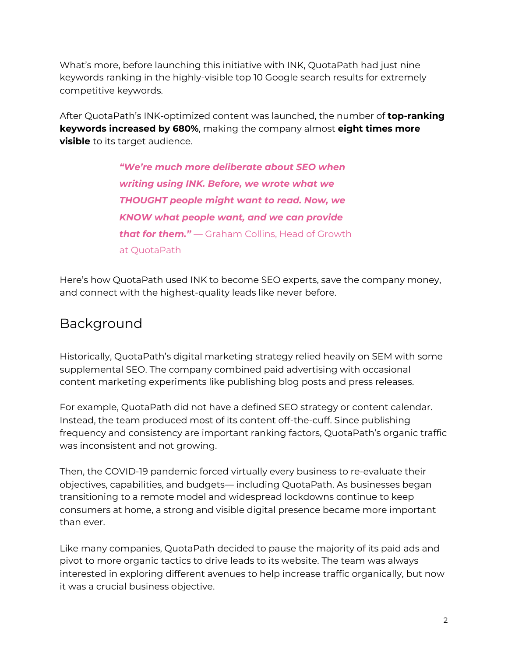What's more, before launching this initiative with INK, QuotaPath had just nine keywords ranking in the highly-visible top 10 Google search results for extremely competitive keywords.

After QuotaPath's INK-optimized content was launched, the number of **top-ranking keywords increased by 680%**, making the company almost **eight times more visible** to its target audience.

> *"We're much more deliberate about SEO when writing using INK. Before, we wrote what we THOUGHT people might want to read. Now, we KNOW what people want, and we can provide that for them."* — Graham Collins, Head of Growth at QuotaPath

Here's how QuotaPath used INK to become SEO experts, save the company money, and connect with the highest-quality leads like never before.

### Background

Historically, QuotaPath's digital marketing strategy relied heavily on SEM with some supplemental SEO. The company combined paid advertising with occasional content marketing experiments like publishing blog posts and press releases.

For example, QuotaPath did not have a defined SEO strategy or content calendar. Instead, the team produced most of its content off-the-cuff. Since publishing frequency and consistency are important ranking factors, QuotaPath's organic traffic was inconsistent and not growing.

Then, the COVID-19 pandemic forced virtually every business to re-evaluate their objectives, capabilities, and budgets— including QuotaPath. As businesses began transitioning to a remote model and widespread lockdowns continue to keep consumers at home, a strong and visible digital presence became more important than ever.

Like many companies, QuotaPath decided to pause the majority of its paid ads and pivot to more organic tactics to drive leads to its website. The team was always interested in exploring different avenues to help increase traffic organically, but now it was a crucial business objective.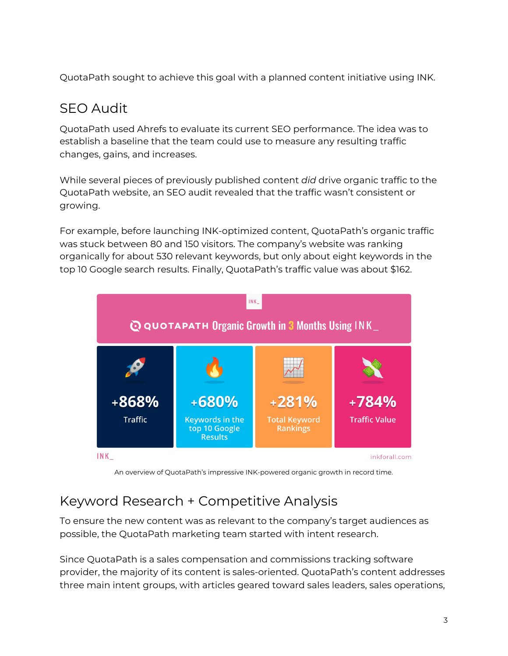QuotaPath sought to achieve this goal with a planned content initiative using INK.

### SEO Audit

QuotaPath used Ahrefs to evaluate its current SEO performance. The idea was to establish a baseline that the team could use to measure any resulting traffic changes, gains, and increases.

While several pieces of previously published content *did* drive organic traffic to the QuotaPath website, an SEO audit revealed that the traffic wasn't consistent or growing.

For example, before launching INK-optimized content, QuotaPath's organic traffic was stuck between 80 and 150 visitors. The company's website was ranking organically for about 530 relevant keywords, but only about eight keywords in the top 10 Google search results. Finally, QuotaPath's traffic value was about \$162.



An overview of QuotaPath's impressive INK-powered organic growth in record time.

## Keyword Research + Competitive Analysis

To ensure the new content was as relevant to the company's target audiences as possible, the QuotaPath marketing team started with intent research.

Since QuotaPath is a sales compensation and commissions tracking software provider, the majority of its content is sales-oriented. QuotaPath's content addresses three main intent groups, with articles geared toward sales leaders, sales operations,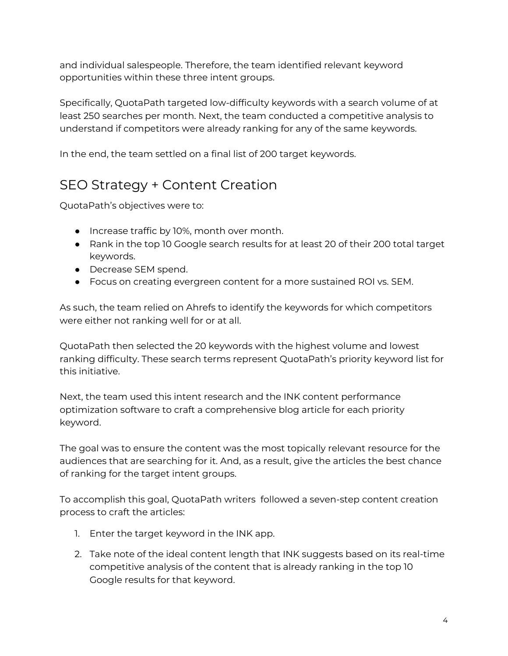and individual salespeople. Therefore, the team identified relevant keyword opportunities within these three intent groups.

Specifically, QuotaPath targeted low-difficulty keywords with a search volume of at least 250 searches per month. Next, the team conducted a competitive analysis to understand if competitors were already ranking for any of the same keywords.

In the end, the team settled on a final list of 200 target keywords.

### SEO Strategy + Content Creation

QuotaPath's objectives were to:

- Increase traffic by 10%, month over month.
- Rank in the top 10 Google search results for at least 20 of their 200 total target keywords.
- Decrease SEM spend.
- Focus on creating evergreen content for a more sustained ROI vs. SEM.

As such, the team relied on Ahrefs to identify the keywords for which competitors were either not ranking well for or at all.

QuotaPath then selected the 20 keywords with the highest volume and lowest ranking difficulty. These search terms represent QuotaPath's priority keyword list for this initiative.

Next, the team used this intent research and the INK content performance optimization software to craft a comprehensive blog article for each priority keyword.

The goal was to ensure the content was the most topically relevant resource for the audiences that are searching for it. And, as a result, give the articles the best chance of ranking for the target intent groups.

To accomplish this goal, QuotaPath writers followed a seven-step content creation process to craft the articles:

- 1. Enter the target keyword in the INK app.
- 2. Take note of the ideal content length that INK suggests based on its real-time competitive analysis of the content that is already ranking in the top 10 Google results for that keyword.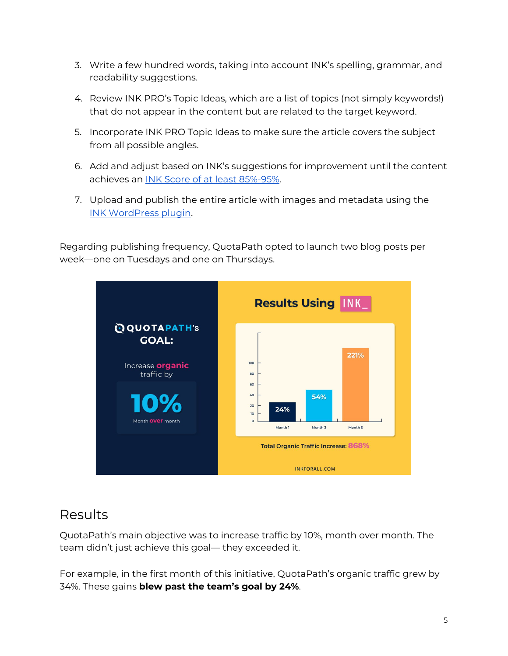- 3. Write a few hundred words, taking into account INK's spelling, grammar, and readability suggestions.
- 4. Review INK PRO's Topic Ideas, which are a list of topics (not simply keywords!) that do not appear in the content but are related to the target keyword.
- 5. Incorporate INK PRO Topic Ideas to make sure the article covers the subject from all possible angles.
- 6. Add and adjust based on INK's suggestions for improvement until the content achieves an INK Score of at least [85%-95%.](https://blog.inkforall.com/google-website-ranking-data-study)
- 7. Upload and publish the entire article with images and metadata using the INK [WordPress](https://wordpress.org/plugins/ink-official/) plugin.

Regarding publishing frequency, QuotaPath opted to launch two blog posts per week—one on Tuesdays and one on Thursdays.



#### Results

QuotaPath's main objective was to increase traffic by 10%, month over month. The team didn't just achieve this goal— they exceeded it.

For example, in the first month of this initiative, QuotaPath's organic traffic grew by 34%. These gains **blew past the team's goal by 24%**.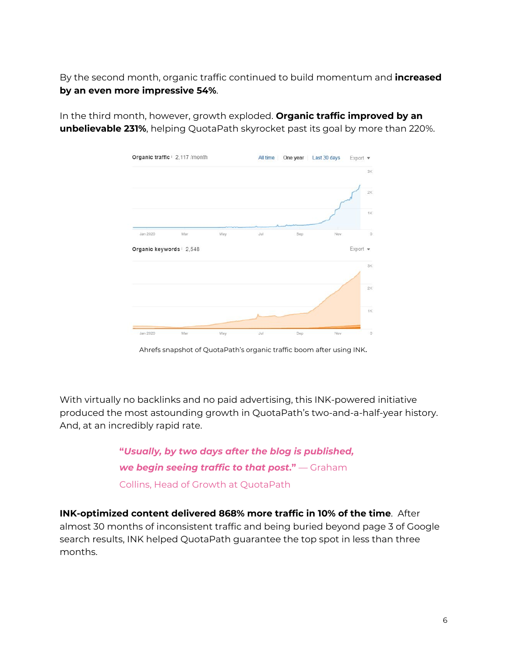By the second month, organic traffic continued to build momentum and **increased by an even more impressive 54%**.



In the third month, however, growth exploded. **Organic traffic improved by an unbelievable 231%**, helping QuotaPath skyrocket past its goal by more than 220%.

Ahrefs snapshot of QuotaPath's organic traffic boom after using INK.

With virtually no backlinks and no paid advertising, this INK-powered initiative produced the most astounding growth in QuotaPath's two-and-a-half-year history. And, at an incredibly rapid rate.

> **"***Usually, by two days after the blog is published, we begin seeing traffic to that post***."** — Graham Collins, Head of Growth at QuotaPath

**INK-optimized content delivered 868% more traffic in 10% of the time**. After almost 30 months of inconsistent traffic and being buried beyond page 3 of Google search results, INK helped QuotaPath guarantee the top spot in less than three months.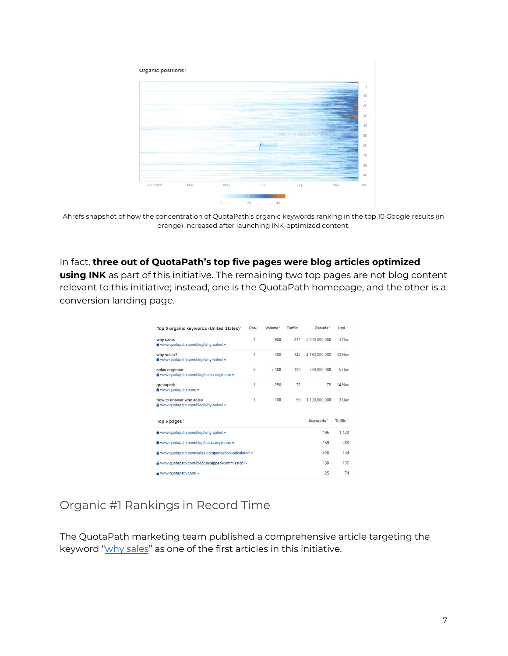

Ahrefs snapshot of how the concentration of QuotaPath's organic keywords ranking in the top 10 Google results (in orange) increased after launching INK-optimized content.

#### In fact, **three out of QuotaPath's top five pages were blog articles optimized**

**using INK** as part of this initiative. The remaining two top pages are not blog content relevant to this initiative; instead, one is the QuotaPath homepage, and the other is a conversion landing page.

| Top 5 organic keywords (United States)'                          | Pos. | Volume | Traffic <sup>1</sup> | Results <sup>i</sup>  | Upd.                 |
|------------------------------------------------------------------|------|--------|----------------------|-----------------------|----------------------|
| why sales<br>a www.quotapath.com/blog/why-sales/ v               | 1    | 900    | 241                  | 3.640.000.000         | 4 Dec                |
| why sales?<br>a www.quotapath.com/blog/why-sales/ v              | 1    | 300    | 142                  | 4.160.000.000         | 30 Nov               |
| sales engineer<br>www.quotapath.com/blog/sales-engineer/ =       | 9    | 7.000  | 133                  | 749,000,000           | 5 Dec                |
| quotapath<br>a www.quotapath.com/ v                              | 1    | 250    | 72                   | 78                    | 14 Nov               |
| how to answer why sales<br>a www.quotapath.com/blog/why-sales/ v | 1    | 100    | 59                   | 1,100,000,000         | 3 Dec                |
| Top 5 pages                                                      |      |        |                      | Keywords <sup>1</sup> | Traffic <sup>i</sup> |
| a www.quotapath.com/blog/why-sales/ v                            |      |        |                      | 195                   | 1.120                |
| a www.quotapath.com/blog/sales-engineer/ v                       |      |        |                      | 159                   | 288                  |
| www.quotapath.com/sales-compensation-calculator/ v               |      |        |                      | 408                   | 144                  |
| a www.quotapath.com/blog/uncapped-commission/ v                  |      |        |                      | 130                   | 136                  |
| a www.quotapath.com/ v                                           |      |        |                      | 25                    | 74                   |

#### Organic #1 Rankings in Record Time

The QuotaPath marketing team published a comprehensive article targeting the keyword "why [sales](https://www.quotapath.com/blog/why-sales/)" as one of the first articles in this initiative.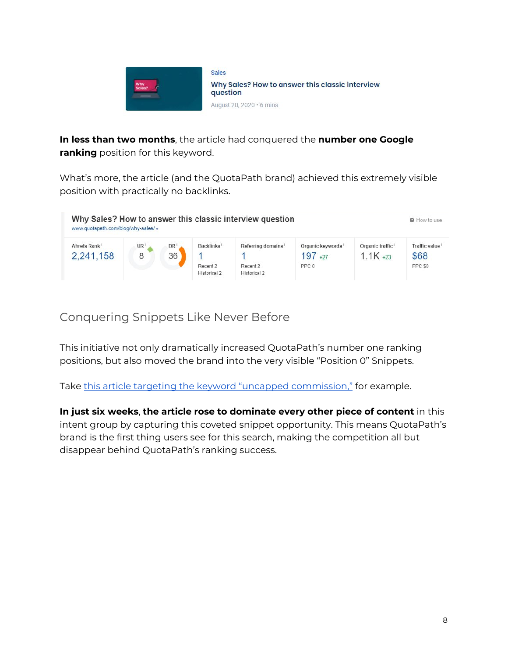

**In less than two months**, the article had conquered the **number one Google ranking** position for this keyword.

What's more, the article (and the QuotaPath brand) achieved this extremely visible position with practically no backlinks.



### Conquering Snippets Like Never Before

This initiative not only dramatically increased QuotaPath's number one ranking positions, but also moved the brand into the very visible "Position 0" Snippets.

Take this article targeting the keyword "uncapped [commission,"](https://www.quotapath.com/blog/uncapped-commission/) for example.

**In just six weeks**, **the article rose to dominate every other piece of content** in this intent group by capturing this coveted snippet opportunity. This means QuotaPath's brand is the first thing users see for this search, making the competition all but disappear behind QuotaPath's ranking success.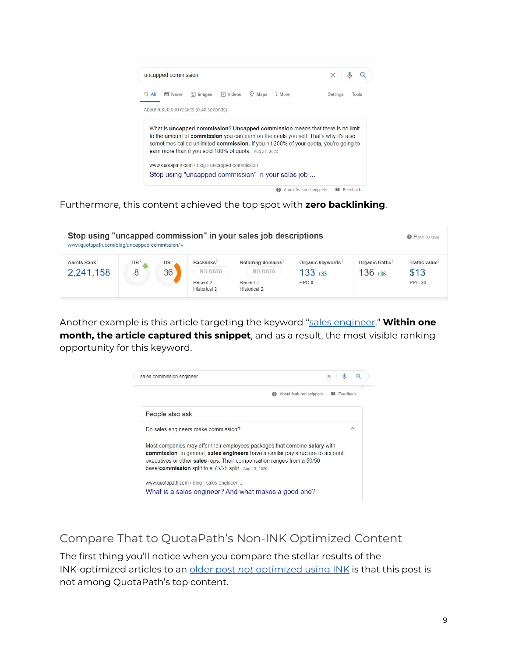

Furthermore, this content achieved the top spot with **zero backlinking**.

| www.quotapath.com/blog/uncapped-commission/ v |           |                 |                          | Stop using "uncapped commission" in your sales job descriptions |                  |                 | <b>O</b> How to use |
|-----------------------------------------------|-----------|-----------------|--------------------------|-----------------------------------------------------------------|------------------|-----------------|---------------------|
| Ahrefs Rank                                   | <b>UR</b> | DR <sup>1</sup> | Backlinks <sup>®</sup>   | Referring domains                                               | Organic keywords | Organic traffic | Traffic value       |
| 2.241.158                                     | 8         | 36              | NO DATA                  | NO DATA                                                         | $133 + 33$       | $136 + 36$      | \$13                |
|                                               |           |                 | Recent 2<br>Historical 2 | Recent 2<br>Historical 2                                        | PPC 0            |                 | PPC \$0             |

Another example is this article targeting the keyword "sales [engineer](https://www.quotapath.com/blog/sales-engineer/)." **Within one month, the article captured this snippet**, and as a result, the most visible ranking opportunity for this keyword.



Compare That to QuotaPath's Non-INK Optimized Content

The first thing you'll notice when you compare the stellar results of the INK-optimized articles to an [older](https://www.quotapath.com/blog/recording-sales-calls/) post *[not](https://www.quotapath.com/blog/recording-sales-calls/)* [optimized](https://www.quotapath.com/blog/recording-sales-calls/) using INK is that this post is not among QuotaPath's top content.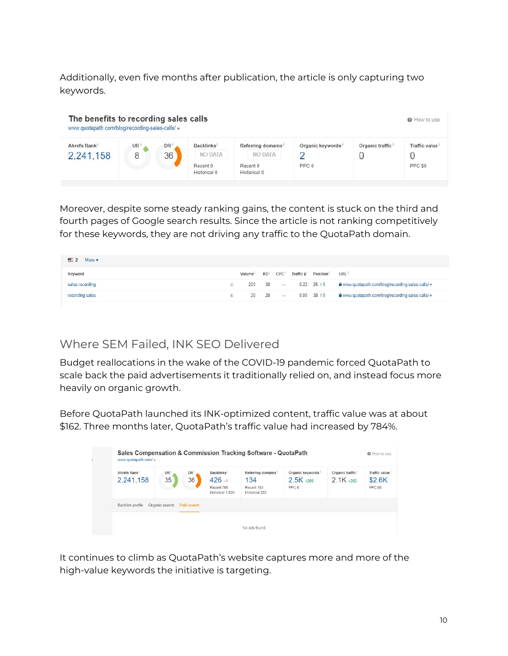Additionally, even five months after publication, the article is only capturing two keywords.

| The benefits to recording sales calls<br>www.quotapath.com/blog/recording-sales-calls/ v |                |                 |                                   |                                     |                  |                              | <b>O</b> How to use  |
|------------------------------------------------------------------------------------------|----------------|-----------------|-----------------------------------|-------------------------------------|------------------|------------------------------|----------------------|
| Ahrefs Rank <sup>1</sup><br>2,241,158                                                    | <b>UR</b><br>8 | <b>DR</b><br>36 | Backlinks <sup>1</sup><br>NO DATA | Referring domains<br><b>NO DATA</b> | Organic keywords | Organic traffic <sup>i</sup> | <b>Traffic value</b> |
|                                                                                          |                |                 | Recent 0<br>Historical 0          | Recent 0<br>Historical 0            | PPC 0            |                              | PPC SO               |

Moreover, despite some steady ranking gains, the content is stuck on the third and fourth pages of Google search results. Since the article is not ranking competitively for these keywords, they are not driving any traffic to the QuotaPath domain.

| $M = 2$ More $\blacktriangledown$ |                     |                                  |           |                    |                                                                   |
|-----------------------------------|---------------------|----------------------------------|-----------|--------------------|-------------------------------------------------------------------|
| Keyword                           | Volume <sup>1</sup> | KD <sup>i</sup> CPC <sup>1</sup> | Traffic 1 | Position           | URL                                                               |
| sales recording                   |                     | $200 \t 38 -$                    |           |                    | 0.22 25 15 <b>a</b> www.quotapath.com/blog/recording-sales-calls/ |
| recording sales                   |                     |                                  |           | 20 28 - 0.00 38 15 | a www.quotapath.com/blog/recording-sales-calls/ v                 |

#### Where SEM Failed, INK SEO Delivered

Budget reallocations in the wake of the COVID-19 pandemic forced QuotaPath to scale back the paid advertisements it traditionally relied on, and instead focus more heavily on organic growth.

Before QuotaPath launched its INK-optimized content, traffic value was at about \$162. Three months later, QuotaPath's traffic value had increased by 784%.

| Ahrefs Rank      | UR <sup>1</sup>            | DR <sup>1</sup> | <b>Backlinks</b>               | Referring domains <sup>1</sup> | Organic keywords <sup>1</sup> | Organic traffic <sup>i</sup> | Traffic value |
|------------------|----------------------------|-----------------|--------------------------------|--------------------------------|-------------------------------|------------------------------|---------------|
| 2,241,158        | 35                         | 36              | $426 - 1$                      | 134                            | $2.5K + 206$                  | $2.1K + 282$                 | \$2.6K        |
|                  |                            |                 | Recent 765<br>Historical 1.62K | Recent 163<br>Historical 222   | PPC <sub>0</sub>              |                              | PPC SO        |
|                  |                            |                 |                                |                                |                               |                              |               |
| Backlink profile | Organic search Paid search |                 |                                |                                |                               |                              |               |

It continues to climb as QuotaPath's website captures more and more of the high-value keywords the initiative is targeting.